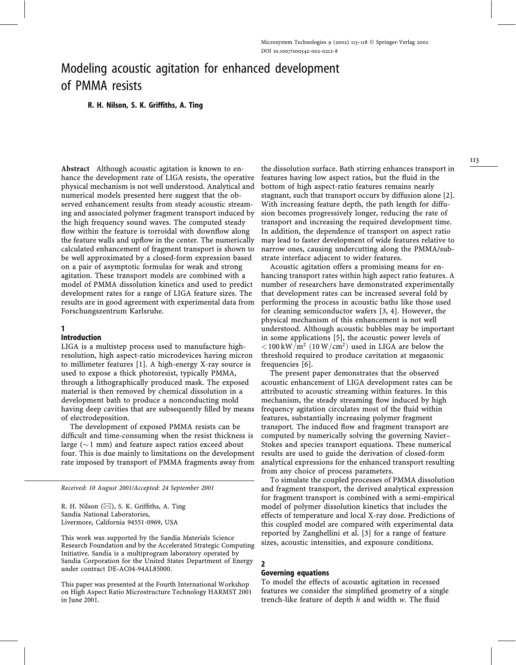# Modeling acoustic agitation for enhanced development of PMMA resists

# R. H. Nilson, S. K. Griffiths, A. Ting

Abstract Although acoustic agitation is known to enhance the development rate of LIGA resists, the operative physical mechanism is not well understood. Analytical and numerical models presented here suggest that the observed enhancement results from steady acoustic streaming and associated polymer fragment transport induced by the high frequency sound waves. The computed steady flow within the feature is torroidal with downflow along the feature walls and upflow in the center. The numerically calculated enhancement of fragment transport is shown to be well approximated by a closed-form expression based on a pair of asymptotic formulas for weak and strong agitation. These transport models are combined with a model of PMMA dissolution kinetics and used to predict development rates for a range of LIGA feature sizes. The results are in good agreement with experimental data from Forschungszentrum Karlsruhe.

# 1

## Introduction

LIGA is a multistep process used to manufacture highresolution, high aspect-ratio microdevices having micron to millimeter features [1]. A high-energy X-ray source is used to expose a thick photoresist, typically PMMA, through a lithographically produced mask. The exposed material is then removed by chemical dissolution in a development bath to produce a nonconducting mold having deep cavities that are subsequently filled by means of electrodeposition.

The development of exposed PMMA resists can be difficult and time-consuming when the resist thickness is large ( $\sim$ 1 mm) and feature aspect ratios exceed about four. This is due mainly to limitations on the development rate imposed by transport of PMMA fragments away from

Received: 10 August 2001/Accepted: 24 September 2001

R. H. Nilson (⊠), S. K. Griffiths, A. Ting Sandia National Laboratories, Livermore, California 94551-0969, USA

This work was supported by the Sandia Materials Science Research Foundation and by the Accelerated Strategic Computing Initiative. Sandia is a multiprogram laboratory operated by Sandia Corporation for the United States Department of Energy under contract DE-AC04-94AL85000.

This paper was presented at the Fourth International Workshop on High Aspect Ratio Microstructure Technology HARMST 2001 in June 2001.

the dissolution surface. Bath stirring enhances transport in features having low aspect ratios, but the fluid in the bottom of high aspect-ratio features remains nearly stagnant, such that transport occurs by diffusion alone [2]. With increasing feature depth, the path length for diffusion becomes progressively longer, reducing the rate of transport and increasing the required development time. In addition, the dependence of transport on aspect ratio may lead to faster development of wide features relative to narrow ones, causing undercutting along the PMMA/substrate interface adjacent to wider features.

Acoustic agitation offers a promising means for enhancing transport rates within high aspect ratio features. A number of researchers have demonstrated experimentally that development rates can be increased several fold by performing the process in acoustic baths like those used for cleaning semiconductor wafers [3, 4]. However, the physical mechanism of this enhancement is not well understood. Although acoustic bubbles may be important in some applications [5], the acoustic power levels of  $<$ 100 kW/m<sup>2</sup> (10 W/cm<sup>2</sup>) used in LIGA are below the threshold required to produce cavitation at megasonic frequencies [6].

The present paper demonstrates that the observed acoustic enhancement of LIGA development rates can be attributed to acoustic streaming within features. In this mechanism, the steady streaming flow induced by high frequency agitation circulates most of the fluid within features, substantially increasing polymer fragment transport. The induced flow and fragment transport are computed by numerically solving the governing Navier– Stokes and species transport equations. These numerical results are used to guide the derivation of closed-form analytical expressions for the enhanced transport resulting from any choice of process parameters.

To simulate the coupled processes of PMMA dissolution and fragment transport, the derived analytical expression for fragment transport is combined with a semi-empirical model of polymer dissolution kinetics that includes the effects of temperature and local X-ray dose. Predictions of this coupled model are compared with experimental data reported by Zanghellini et al. [3] for a range of feature sizes, acoustic intensities, and exposure conditions.

# 2

# Governing equations

To model the effects of acoustic agitation in recessed features we consider the simplified geometry of a single trench-like feature of depth  $h$  and width  $w$ . The fluid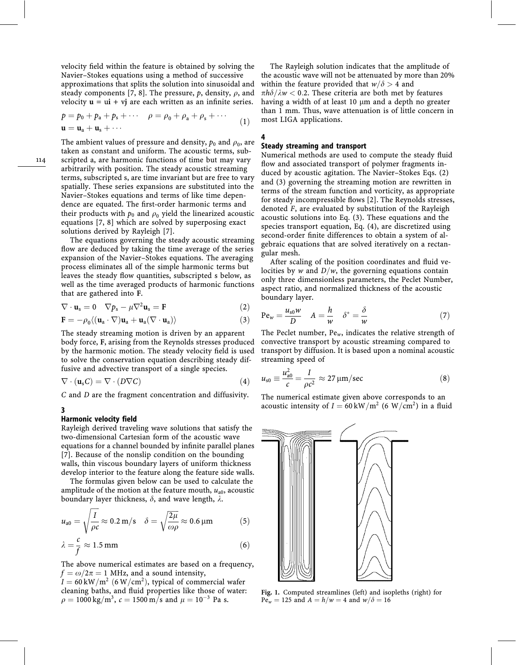velocity field within the feature is obtained by solving the Navier–Stokes equations using a method of successive approximations that splits the solution into sinusoidal and steady components [7, 8]. The pressure, p, density,  $\rho$ , and velocity  $\mathbf{u} = \mathbf{u} \mathbf{i} + \mathbf{v} \mathbf{j}$  are each written as an infinite series.

$$
p = p_0 + p_a + p_s + \cdots \t\rho = \rho_0 + \rho_a + \rho_s + \cdots \n\mathbf{u} = \mathbf{u}_a + \mathbf{u}_s + \cdots
$$
\n(1)

The ambient values of pressure and density,  $p_0$  and  $\rho_0$ , are taken as constant and uniform. The acoustic terms, subscripted a, are harmonic functions of time but may vary arbitrarily with position. The steady acoustic streaming terms, subscripted s, are time invariant but are free to vary spatially. These series expansions are substituted into the Navier–Stokes equations and terms of like time dependence are equated. The first-order harmonic terms and their products with  $p_0$  and  $p_0$  yield the linearized acoustic equations [7, 8] which are solved by superposing exact solutions derived by Rayleigh [7].

The equations governing the steady acoustic streaming flow are deduced by taking the time average of the series expansion of the Navier–Stokes equations. The averaging process eliminates all of the simple harmonic terms but leaves the steady flow quantities, subscripted s below, as well as the time averaged products of harmonic functions that are gathered into F.

$$
\nabla \cdot \mathbf{u}_s = 0 \quad \nabla p_s - \mu \nabla^2 \mathbf{u}_s = \mathbf{F} \tag{2}
$$

$$
\mathbf{F} = -\rho_0 \langle (\mathbf{u}_a \cdot \nabla) \mathbf{u}_a + \mathbf{u}_a (\nabla \cdot \mathbf{u}_a) \rangle \tag{3}
$$

The steady streaming motion is driven by an apparent body force, F, arising from the Reynolds stresses produced by the harmonic motion. The steady velocity field is used to solve the conservation equation describing steady diffusive and advective transport of a single species.

$$
\nabla \cdot (\mathbf{u}_s C) = \nabla \cdot (D \nabla C) \tag{4}
$$

C and D are the fragment concentration and diffusivity.

## 3

#### Harmonic velocity field

Rayleigh derived traveling wave solutions that satisfy the two-dimensional Cartesian form of the acoustic wave equations for a channel bounded by infinite parallel planes [7]. Because of the nonslip condition on the bounding walls, thin viscous boundary layers of uniform thickness develop interior to the feature along the feature side walls.

The formulas given below can be used to calculate the amplitude of the motion at the feature mouth,  $u_{a0}$ , acoustic boundary layer thickness,  $\delta$ , and wave length,  $\lambda$ .

$$
u_{a0} = \sqrt{\frac{I}{\rho c}} \approx 0.2 \,\mathrm{m/s} \quad \delta = \sqrt{\frac{2\mu}{\omega \rho}} \approx 0.6 \,\mathrm{\mu m} \tag{5}
$$

$$
\lambda = \frac{c}{f} \approx 1.5 \,\text{mm} \tag{6}
$$

The above numerical estimates are based on a frequency,  $f = \omega/2\pi = 1$  MHz, and a sound intensity,

 $I = 60 \text{ kW/m}^2$  (6 W/cm<sup>2</sup>), typical of commercial wafer cleaning baths, and fluid properties like those of water:  $\rho = 1000 \text{ kg/m}^3$ ,  $c = 1500 \text{ m/s}$  and  $\mu = 10^{-3}$  Pa s.

The Rayleigh solution indicates that the amplitude of the acoustic wave will not be attenuated by more than 20% within the feature provided that  $w/\delta > 4$  and  $\pi h \delta/\lambda w < 0.2$ . These criteria are both met by features having a width of at least 10  $\mu$ m and a depth no greater than 1 mm. Thus, wave attenuation is of little concern in most LIGA applications.

# 4

## Steady streaming and transport

Numerical methods are used to compute the steady fluid flow and associated transport of polymer fragments induced by acoustic agitation. The Navier–Stokes Eqs. (2) and (3) governing the streaming motion are rewritten in terms of the stream function and vorticity, as appropriate for steady incompressible flows [2]. The Reynolds stresses, denoted F, are evaluated by substitution of the Rayleigh acoustic solutions into Eq. (3). These equations and the species transport equation, Eq. (4), are discretized using second-order finite differences to obtain a system of algebraic equations that are solved iteratively on a rectangular mesh.

After scaling of the position coordinates and fluid velocities by w and  $D/w$ , the governing equations contain only three dimensionless parameters, the Peclet Number, aspect ratio, and normalized thickness of the acoustic boundary layer.

$$
Pe_w = \frac{u_{s0}w}{D} \quad A = \frac{h}{w} \quad \delta^* = \frac{\delta}{w}
$$
 (7)

The Peclet number,  $Pe_w$ , indicates the relative strength of convective transport by acoustic streaming compared to transport by diffusion. It is based upon a nominal acoustic streaming speed of

$$
u_{\rm s0} \equiv \frac{u_{\rm a0}^2}{c} = \frac{I}{\rho c^2} \approx 27 \,\mu\text{m/sec}
$$
 (8)

The numerical estimate given above corresponds to an acoustic intensity of  $I = 60 \text{ kW/m}^2$  (6 W/cm<sup>2</sup>) in a fluid



Fig. 1. Computed streamlines (left) and isopleths (right) for  $Pe_w = 125$  and  $A = h/w = 4$  and  $w/\delta = 16$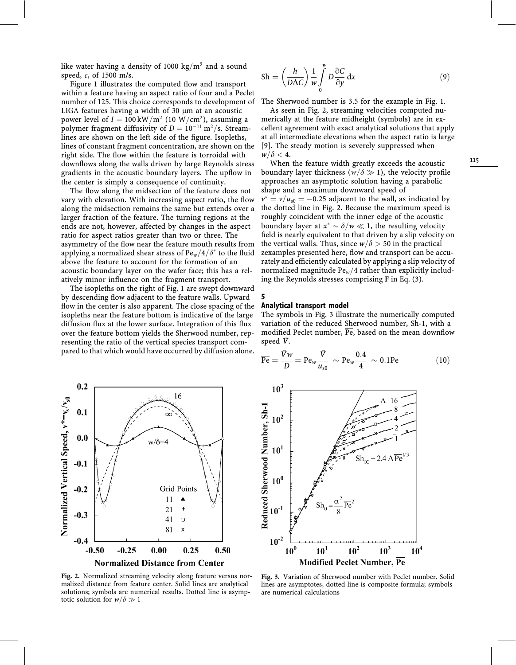like water having a density of 1000 kg/m<sup>3</sup> and a sound speed, c, of 1500 m/s.

Figure 1 illustrates the computed flow and transport within a feature having an aspect ratio of four and a Peclet number of 125. This choice corresponds to development of LIGA features having a width of 30  $\mu$ m at an acoustic power level of  $I = 100 \text{ kW/m}^2$  (10 W/cm<sup>2</sup>), assuming a polymer fragment diffusivity of  $D = 10^{-11} \text{ m}^2/\text{s}$ . Streamlines are shown on the left side of the figure. Isopleths, lines of constant fragment concentration, are shown on the right side. The flow within the feature is torroidal with downflows along the walls driven by large Reynolds stress gradients in the acoustic boundary layers. The upflow in the center is simply a consequence of continuity.

The flow along the midsection of the feature does not vary with elevation. With increasing aspect ratio, the flow along the midsection remains the same but extends over a larger fraction of the feature. The turning regions at the ends are not, however, affected by changes in the aspect ratio for aspect ratios greater than two or three. The asymmetry of the flow near the feature mouth results from applying a normalized shear stress of  $Pe_w/4/\delta^*$  to the fluid above the feature to account for the formation of an acoustic boundary layer on the wafer face; this has a relatively minor influence on the fragment transport.

The isopleths on the right of Fig. 1 are swept downward by descending flow adjacent to the feature walls. Upward flow in the center is also apparent. The close spacing of the isopleths near the feature bottom is indicative of the large diffusion flux at the lower surface. Integration of this flux over the feature bottom yields the Sherwood number, representing the ratio of the vertical species transport compared to that which would have occurred by diffusion alone.



Fig. 2. Normalized streaming velocity along feature versus normalized distance from feature center. Solid lines are analytical solutions; symbols are numerical results. Dotted line is asymptotic solution for  $w/\delta \gg 1$ 

$$
Sh = \left(\frac{h}{D\Delta C}\right) \frac{1}{w} \int_{0}^{w} D \frac{\partial C}{\partial y} dx
$$
 (9)

The Sherwood number is 3.5 for the example in Fig. 1.

As seen in Fig. 2, streaming velocities computed numerically at the feature midheight (symbols) are in excellent agreement with exact analytical solutions that apply at all intermediate elevations when the aspect ratio is large [9]. The steady motion is severely suppressed when  $w/\delta < 4.$ 

When the feature width greatly exceeds the acoustic boundary layer thickness ( $w/\delta \gg 1$ ), the velocity profile approaches an asymptotic solution having a parabolic shape and a maximum downward speed of  $v^* = v/u_{s0} = -0.25$  adjacent to the wall, as indicated by the dotted line in Fig. 2. Because the maximum speed is roughly coincident with the inner edge of the acoustic boundary layer at  $x^* \sim \delta/w \ll 1$ , the resulting velocity field is nearly equivalent to that driven by a slip velocity on the vertical walls. Thus, since  $w/\delta > 50$  in the practical zexamples presented here, flow and transport can be accurately and efficiently calculated by applying a slip velocity of normalized magnitude  $Pe_w/4$  rather than explicitly including the Reynolds stresses comprising F in Eq. (3).

#### Analytical transport model

5

The symbols in Fig. 3 illustrate the numerically computed variation of the reduced Sherwood number, Sh-1, with a modified Peclet number,  $\overline{Pe}$ , based on the mean downflow speed  $\bar{V}$ .

$$
\overline{\text{Pe}} = \frac{\overline{V}w}{D} = \text{Pe}_w \frac{\overline{V}}{u_{s0}} \sim \text{Pe}_w \frac{0.4}{4} \sim 0.1 \text{Pe}
$$
 (10)



Fig. 3. Variation of Sherwood number with Peclet number. Solid lines are asymptotes, dotted line is composite formula; symbols are numerical calculations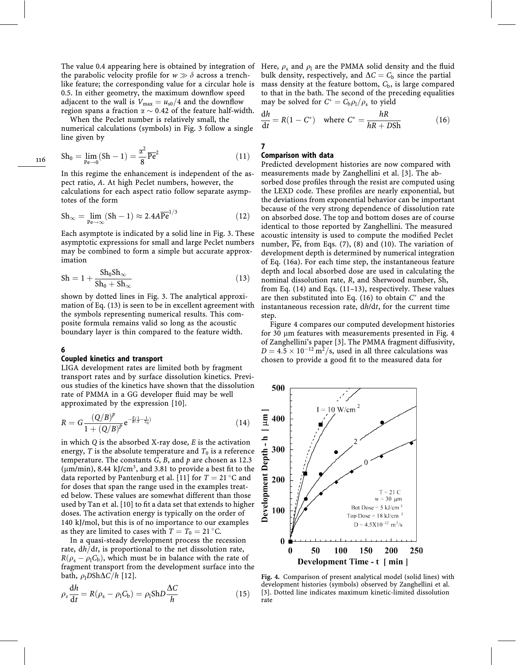The value 0.4 appearing here is obtained by integration of the parabolic velocity profile for  $w \gg \delta$  across a trenchlike feature; the corresponding value for a circular hole is 0.5. In either geometry, the maximum downflow speed adjacent to the wall is  $V_{\text{max}} = u_{s0}/4$  and the downflow region spans a fraction  $\alpha \sim 0.42$  of the feature half-width.

When the Peclet number is relatively small, the numerical calculations (symbols) in Fig. 3 follow a single line given by

$$
Sh_0 = \lim_{Pe \to 0} (Sh - 1) = \frac{\alpha^2}{8} \overline{Pe}^2
$$
\n(11)

In this regime the enhancement is independent of the aspect ratio, A. At high Peclet numbers, however, the calculations for each aspect ratio follow separate asymptotes of the form

$$
Sh_{\infty} = \lim_{\text{Pe}\to\infty} (Sh - 1) \approx 2.4A\overline{\text{Pe}}^{1/3}
$$
 (12)

Each asymptote is indicated by a solid line in Fig. 3. These asymptotic expressions for small and large Peclet numbers may be combined to form a simple but accurate approximation

$$
Sh = 1 + \frac{Sh_0 Sh_\infty}{Sh_0 + Sh_\infty} \tag{13}
$$

shown by dotted lines in Fig. 3. The analytical approximation of Eq. (13) is seen to be in excellent agreement with the symbols representing numerical results. This composite formula remains valid so long as the acoustic boundary layer is thin compared to the feature width.

## 6

#### Coupled kinetics and transport

LIGA development rates are limited both by fragment transport rates and by surface dissolution kinetics. Previous studies of the kinetics have shown that the dissolution rate of PMMA in a GG developer fluid may be well approximated by the expression [10].

$$
R = G \frac{(Q/B)^p}{1 + (Q/B)^p} e^{-\frac{E}{R}(\frac{1}{T} - \frac{1}{T_0})}
$$
(14)

in which  $Q$  is the absorbed X-ray dose,  $E$  is the activation energy, T is the absolute temperature and  $T_0$  is a reference temperature. The constants  $G$ ,  $B$ , and  $p$  are chosen as 12.3 ( $\mu$ m/min), 8.44 kJ/cm<sup>3</sup>, and 3.81 to provide a best fit to the data reported by Pantenburg et al. [11] for  $T = 21$  °C and for doses that span the range used in the examples treated below. These values are somewhat different than those used by Tan et al. [10] to fit a data set that extends to higher doses. The activation energy is typically on the order of 140 kJ/mol, but this is of no importance to our examples as they are limited to cases with  $T = T_0 = 21 \degree C$ .

In a quasi-steady development process the recession rate,  $dh/dt$ , is proportional to the net dissolution rate,  $R(\rho_s - \rho_l C_b)$ , which must be in balance with the rate of fragment transport from the development surface into the bath,  $\rho_1 DSh\Delta C/h$  [12].

$$
\rho_s \frac{dh}{dt} = R(\rho_s - \rho_l C_b) = \rho_l ShD \frac{\Delta C}{h}
$$
\n(15)

Here,  $\rho_s$  and  $\rho_1$  are the PMMA solid density and the fluid bulk density, respectively, and  $\Delta C = C_b$  since the partial mass density at the feature bottom,  $C<sub>b</sub>$ , is large compared to that in the bath. The second of the preceding equalities may be solved for  $C^* = C_{\rm b}\rho_{\rm l}/\rho_{\rm s}$  to yield

$$
\frac{dh}{dt} = R(1 - C^*) \quad \text{where } C^* = \frac{hR}{hR + DSh} \tag{16}
$$

7

## Comparison with data

Predicted development histories are now compared with measurements made by Zanghellini et al. [3]. The absorbed dose profiles through the resist are computed using the LEXD code. These profiles are nearly exponential, but the deviations from exponential behavior can be important because of the very strong dependence of dissolution rate on absorbed dose. The top and bottom doses are of course identical to those reported by Zanghellini. The measured acoustic intensity is used to compute the modified Peclet number,  $\overline{Pe}$ , from Eqs. (7), (8) and (10). The variation of development depth is determined by numerical integration of Eq. (16a). For each time step, the instantaneous feature depth and local absorbed dose are used in calculating the nominal dissolution rate, R, and Sherwood number, Sh, from Eq. (14) and Eqs. (11–13), respectively. These values are then substituted into Eq. (16) to obtain  $C^*$  and the instantaneous recession rate, dh/dt, for the current time step.

Figure 4 compares our computed development histories for 30 µm features with measurements presented in Fig. 4 of Zanghellini's paper [3]. The PMMA fragment diffusivity,  $D = 4.5 \times 10^{-12} \text{ m}^2/\text{s}$ , used in all three calculations was chosen to provide a good fit to the measured data for



Fig. 4. Comparison of present analytical model (solid lines) with development histories (symbols) observed by Zanghellini et al. [3]. Dotted line indicates maximum kinetic-limited dissolution rate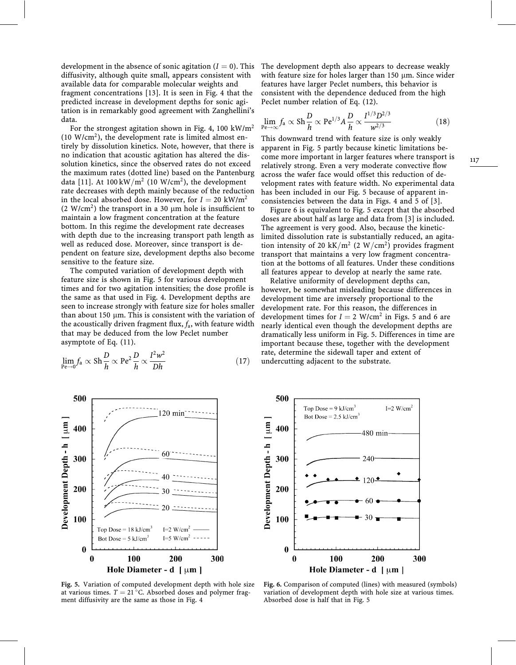development in the absence of sonic agitation  $(I = 0)$ . This diffusivity, although quite small, appears consistent with available data for comparable molecular weights and fragment concentrations [13]. It is seen in Fig. 4 that the predicted increase in development depths for sonic agitation is in remarkably good agreement with Zanghellini's data.

For the strongest agitation shown in Fig. 4, 100 kW/m<sup>2</sup>  $(10 \text{ W/cm}^2)$ , the development rate is limited almost entirely by dissolution kinetics. Note, however, that there is no indication that acoustic agitation has altered the dissolution kinetics, since the observed rates do not exceed the maximum rates (dotted line) based on the Pantenburg data [11]. At  $100 \,\mathrm{kW/m^2}$  (10 W/cm<sup>2</sup>), the development rate decreases with depth mainly because of the reduction in the local absorbed dose. However, for  $I = 20 \text{ kW/m}^2$ (2 W/cm<sup>2</sup>) the transport in a 30  $\mu$ m hole is insufficient to maintain a low fragment concentration at the feature bottom. In this regime the development rate decreases with depth due to the increasing transport path length as well as reduced dose. Moreover, since transport is dependent on feature size, development depths also become sensitive to the feature size.

The computed variation of development depth with feature size is shown in Fig. 5 for various development times and for two agitation intensities; the dose profile is the same as that used in Fig. 4. Development depths are seen to increase strongly with feature size for holes smaller than about 150  $\mu$ m. This is consistent with the variation of the acoustically driven fragment flux,  $f_a$ , with feature width that may be deduced from the low Peclet number asymptote of Eq. (11).

$$
\lim_{\text{Pe}\to 0} f_a \propto \text{Sh} \frac{D}{h} \propto \text{Pe}^2 \frac{D}{h} \propto \frac{I^2 w^2}{Dh} \tag{17}
$$



Fig. 5. Variation of computed development depth with hole size at various times.  $T = 21^{\circ}$ C. Absorbed doses and polymer fragment diffusivity are the same as those in Fig. 4

The development depth also appears to decrease weakly with feature size for holes larger than 150 µm. Since wider features have larger Peclet numbers, this behavior is consistent with the dependence deduced from the high Peclet number relation of Eq. (12).

$$
\lim_{\text{Pe}\to\infty} f_a \propto \text{Sh} \frac{D}{h} \propto \text{Pe}^{1/3} A \frac{D}{h} \propto \frac{I^{1/3} D^{2/3}}{w^{2/3}} \tag{18}
$$

This downward trend with feature size is only weakly apparent in Fig. 5 partly because kinetic limitations become more important in larger features where transport is relatively strong. Even a very moderate convective flow across the wafer face would offset this reduction of development rates with feature width. No experimental data has been included in our Fig. 5 because of apparent inconsistencies between the data in Figs. 4 and 5 of [3].

Figure 6 is equivalent to Fig. 5 except that the absorbed doses are about half as large and data from [3] is included. The agreement is very good. Also, because the kineticlimited dissolution rate is substantially reduced, an agitation intensity of 20 kK/m<sup>2</sup> (2 W/cm<sup>2</sup>) provides fragment transport that maintains a very low fragment concentration at the bottoms of all features. Under these conditions all features appear to develop at nearly the same rate.

Relative uniformity of development depths can, however, be somewhat misleading because differences in development time are inversely proportional to the development rate. For this reason, the differences in development times for  $I = 2$  W/cm<sup>2</sup> in Figs. 5 and 6 are nearly identical even though the development depths are dramatically less uniform in Fig. 5. Differences in time are important because these, together with the development rate, determine the sidewall taper and extent of undercutting adjacent to the substrate.



Fig. 6. Comparison of computed (lines) with measured (symbols) variation of development depth with hole size at various times. Absorbed dose is half that in Fig. 5